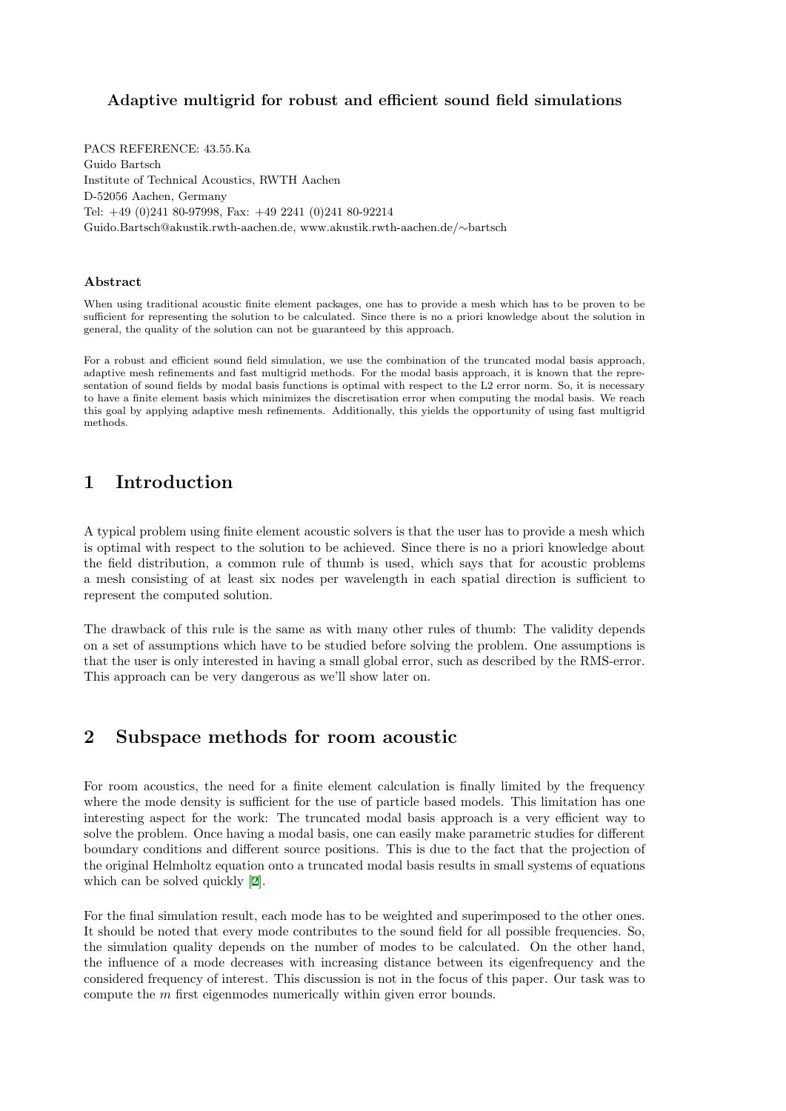### Adaptive multigrid for robust and efficient sound field simulations

PACS REFERENCE: 43.55.Ka Guido Bartsch Institute of Technical Acoustics, RWTH Aachen D-52056 Aachen, Germany Tel: +49 (0)241 80-97998, Fax: +49 2241 (0)241 80-92214 Guido.Bartsch@akustik.rwth-aachen.de, www.akustik.rwth-aachen.de/∼bartsch

#### Abstract

When using traditional acoustic finite element packages, one has to provide a mesh which has to be proven to be sufficient for representing the solution to be calculated. Since there is no a priori knowledge about the solution in general, the quality of the solution can not be guaranteed by this approach.

For a robust and efficient sound field simulation, we use the combination of the truncated modal basis approach, adaptive mesh refinements and fast multigrid methods. For the modal basis approach, it is known that the representation of sound fields by modal basis functions is optimal with respect to the L2 error norm. So, it is necessary to have a finite element basis which minimizes the discretisation error when computing the modal basis. We reach this goal by applying adaptive mesh refinements. Additionally, this yields the opportunity of using fast multigrid methods.

# 1 Introduction

A typical problem using finite element acoustic solvers is that the user has to provide a mesh which is optimal with respect to the solution to be achieved. Since there is no a priori knowledge about the field distribution, a common rule of thumb is used, which says that for acoustic problems a mesh consisting of at least six nodes per wavelength in each spatial direction is sufficient to represent the computed solution.

The drawback of this rule is the same as with many other rules of thumb: The validity depends on a set of assumptions which have to be studied before solving the problem. One assumptions is that the user is only interested in having a small global error, such as described by the RMS-error. This approach can be very dangerous as we'll show later on.

# 2 Subspace methods for room acoustic

For room acoustics, the need for a finite element calculation is finally limited by the frequency where the mode density is sufficient for the use of particle based models. This limitation has one interesting aspect for the work: The truncated modal basis approach is a very efficient way to solve the problem. Once having a modal basis, one can easily make parametric studies for different boundary conditions and different source positions. This is due to the fact that the projection of the original Helmholtz equation onto a truncated modal basis results in small systems of equations which can be solved quickly[[2\]](#page-5-0).

For the final simulation result, each mode has to be weighted and superimposed to the other ones. It should be noted that every mode contributes to the sound field for all possible frequencies. So, the simulation quality depends on the number of modes to be calculated. On the other hand, the influence of a mode decreases with increasing distance between its eigenfrequency and the considered frequency of interest. This discussion is not in the focus of this paper. Our task was to compute the m first eigenmodes numerically within given error bounds.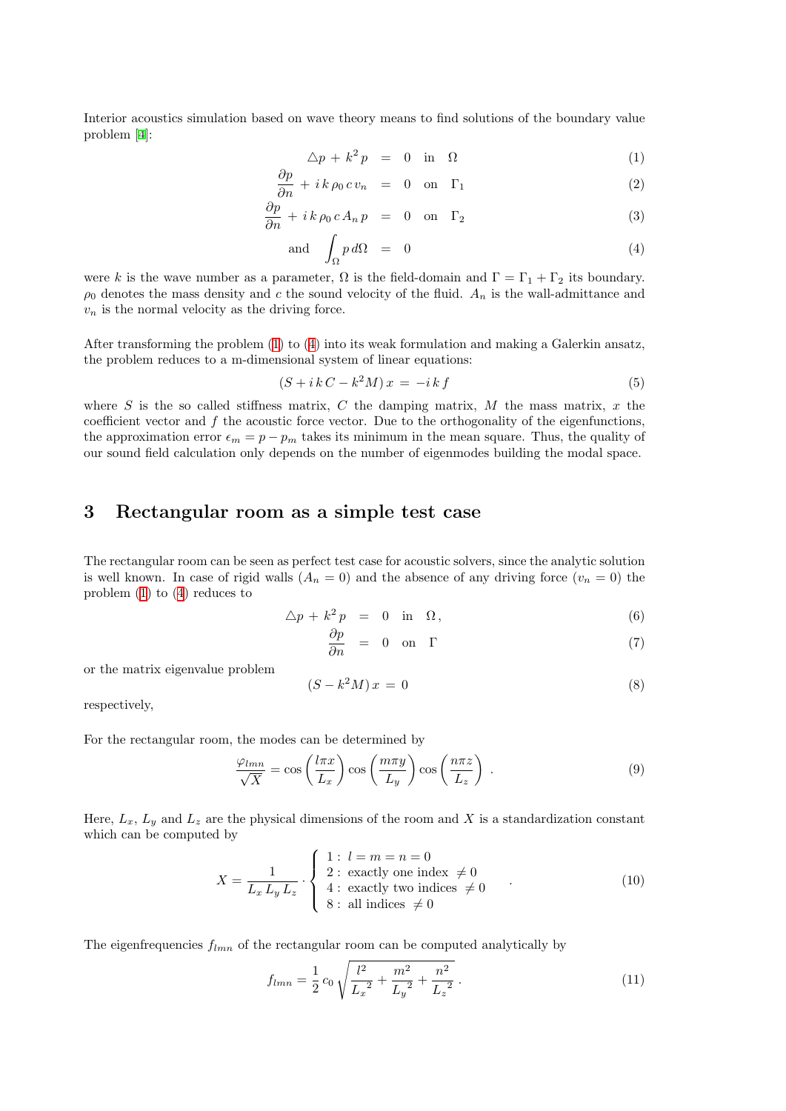Interior acoustics simulation based on wave theory means to find solutions of the boundary value problem [\[4](#page-5-1)]:

<span id="page-1-0"></span>
$$
\Delta p + k^2 p = 0 \quad \text{in} \quad \Omega \tag{1}
$$

$$
\frac{\partial p}{\partial n} + i k \rho_0 c v_n = 0 \quad \text{on} \quad \Gamma_1 \tag{2}
$$

$$
\frac{\partial p}{\partial n} + i k \rho_0 c A_n p = 0 \quad \text{on} \quad \Gamma_2 \tag{3}
$$

and 
$$
\int_{\Omega} p \, d\Omega = 0 \tag{4}
$$

were k is the wave number as a parameter,  $\Omega$  is the field-domain and  $\Gamma = \Gamma_1 + \Gamma_2$  its boundary.  $\rho_0$  denotes the mass density and c the sound velocity of the fluid.  $A_n$  is the wall-admittance and  $v_n$  is the normal velocity as the driving force.

After transforming the problem([1\)](#page-1-0) to([4\)](#page-1-0) into its weak formulation and making a Galerkin ansatz, the problem reduces to a m-dimensional system of linear equations:

$$
(S + i k C - k2 M) x = -i k f \tag{5}
$$

where  $S$  is the so called stiffness matrix,  $C$  the damping matrix,  $M$  the mass matrix,  $x$  the coefficient vector and f the acoustic force vector. Due to the orthogonality of the eigenfunctions, the approximation error  $\epsilon_m = p - p_m$  takes its minimum in the mean square. Thus, the quality of our sound field calculation only depends on the number of eigenmodes building the modal space.

## 3 Rectangular room as a simple test case

The rectangular room can be seen as perfect test case for acoustic solvers, since the analytic solution is well known. In case of rigid walls  $(A_n = 0)$  and the absence of any driving force  $(v_n = 0)$  the problem [\(1](#page-1-0)) to [\(4](#page-1-0)) reduces to

<span id="page-1-2"></span>
$$
\Delta p + k^2 p = 0 \quad \text{in} \quad \Omega, \tag{6}
$$

$$
\frac{\partial p}{\partial n} = 0 \quad \text{on} \quad \Gamma \tag{7}
$$

or the matrix eigenvalue problem

<span id="page-1-1"></span>
$$
(S - k2M)x = 0
$$
\n(8)

respectively,

For the rectangular room, the modes can be determined by

$$
\frac{\varphi_{lmn}}{\sqrt{X}} = \cos\left(\frac{l\pi x}{L_x}\right)\cos\left(\frac{m\pi y}{L_y}\right)\cos\left(\frac{n\pi z}{L_z}\right) \tag{9}
$$

Here,  $L_x$ ,  $L_y$  and  $L_z$  are the physical dimensions of the room and X is a standardization constant which can be computed by

$$
X = \frac{1}{L_x L_y L_z} \cdot \begin{cases} 1: l = m = n = 0 \\ 2: \text{ exactly one index } \neq 0 \\ 4: \text{ exactly two indices } \neq 0 \\ 8: \text{ all indices } \neq 0 \end{cases}
$$
(10)

The eigenfrequencies  $f_{lmn}$  of the rectangular room can be computed analytically by

$$
f_{lmn} = \frac{1}{2}c_0 \sqrt{\frac{l^2}{L_x^2} + \frac{m^2}{L_y^2} + \frac{n^2}{L_z^2}}.
$$
\n(11)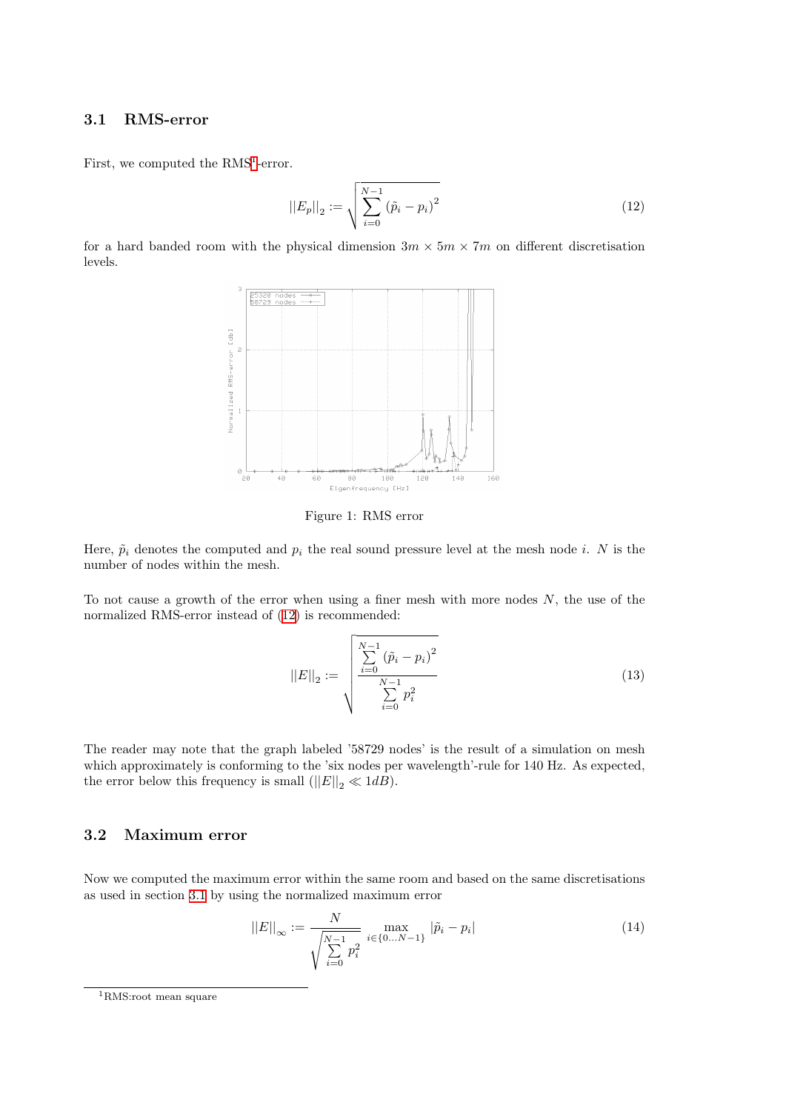#### <span id="page-2-2"></span>3.1 RMS-error

First, we computed the  $RMS<sup>1</sup>$  $RMS<sup>1</sup>$  $RMS<sup>1</sup>$ -error.

<span id="page-2-1"></span>
$$
||E_p||_2 := \sqrt{\sum_{i=0}^{N-1} (\tilde{p}_i - p_i)^2}
$$
 (12)

for a hard banded room with the physical dimension  $3m \times 5m \times 7m$  on different discretisation levels.



Figure 1: RMS error

Here,  $\tilde{p}_i$  denotes the computed and  $p_i$  the real sound pressure level at the mesh node i. N is the number of nodes within the mesh.

To not cause a growth of the error when using a finer mesh with more nodes  $N$ , the use of the normalized RMS-error instead of([12\)](#page-2-1) is recommended:

$$
||E||_2 := \sqrt{\frac{\sum_{i=0}^{N-1} (\tilde{p}_i - p_i)^2}{\sum_{i=0}^{N-1} p_i^2}}
$$
(13)

The reader may note that the graph labeled '58729 nodes' is the result of a simulation on mesh which approximately is conforming to the 'six nodes per wavelength'-rule for 140 Hz. As expected, the error below this frequency is small  $(||E||_2 \ll 1dB)$ .

### 3.2 Maximum error

Now we computed the maximum error within the same room and based on the same discretisations as used in section [3.1](#page-2-2) by using the normalized maximum error

$$
||E||_{\infty} := \frac{N}{\sqrt{\sum_{i=0}^{N-1} p_i^2}} \max_{i \in \{0...N-1\}} |\tilde{p}_i - p_i|
$$
\n(14)

<span id="page-2-0"></span><sup>1</sup>RMS:root mean square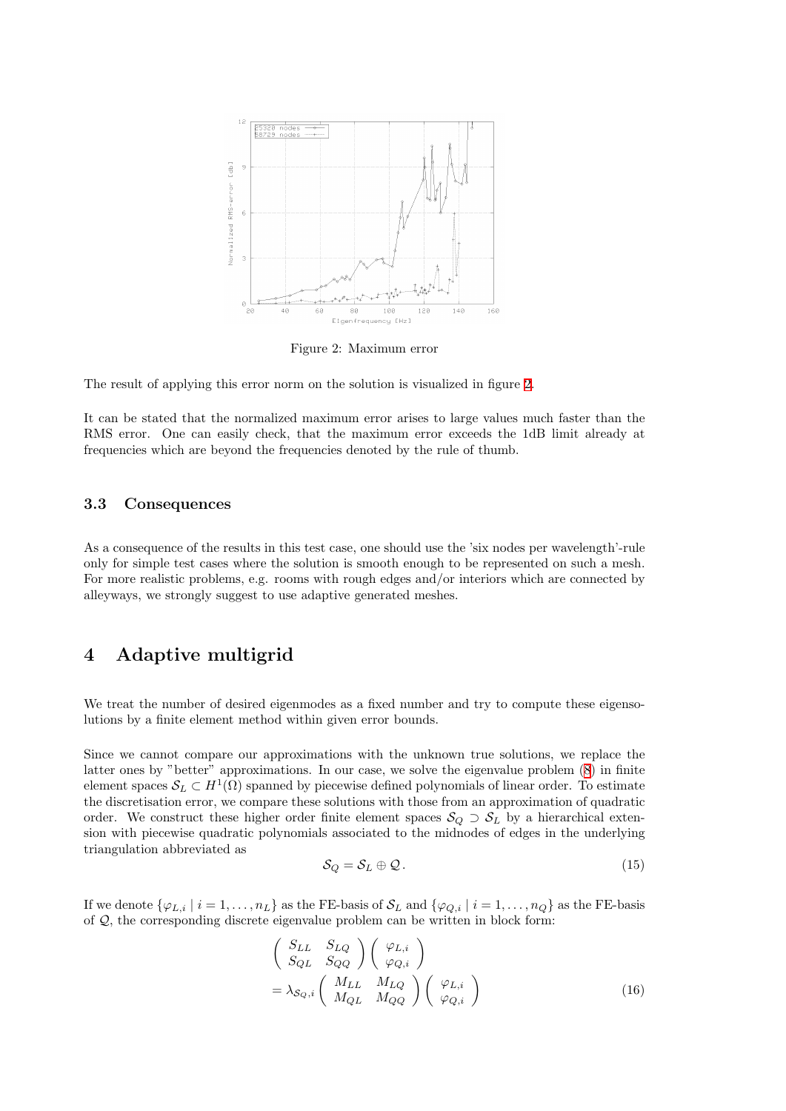

<span id="page-3-0"></span>Figure 2: Maximum error

The result of applying this error norm on the solution is visualized in figure [2](#page-3-0).

It can be stated that the normalized maximum error arises to large values much faster than the RMS error. One can easily check, that the maximum error exceeds the 1dB limit already at frequencies which are beyond the frequencies denoted by the rule of thumb.

#### 3.3 Consequences

As a consequence of the results in this test case, one should use the 'six nodes per wavelength'-rule only for simple test cases where the solution is smooth enough to be represented on such a mesh. For more realistic problems, e.g. rooms with rough edges and/or interiors which are connected by alleyways, we strongly suggest to use adaptive generated meshes.

## 4 Adaptive multigrid

We treat the number of desired eigenmodes as a fixed number and try to compute these eigensolutions by a finite element method within given error bounds.

Since we cannot compare our approximations with the unknown true solutions, we replace the latter ones by "better" approximations. In our case, we solve the eigenvalue problem([8\)](#page-1-1) in finite element spaces  $\mathcal{S}_L \subset H^1(\Omega)$  spanned by piecewise defined polynomials of linear order. To estimate the discretisation error, we compare these solutions with those from an approximation of quadratic order. We construct these higher order finite element spaces  $S_Q \supset S_L$  by a hierarchical extension with piecewise quadratic polynomials associated to the midnodes of edges in the underlying triangulation abbreviated as

$$
\mathcal{S}_Q = \mathcal{S}_L \oplus \mathcal{Q} \,. \tag{15}
$$

If we denote  $\{\varphi_{L,i} | i = 1, \ldots, n_L\}$  as the FE-basis of  $\mathcal{S}_L$  and  $\{\varphi_{Q,i} | i = 1, \ldots, n_Q\}$  as the FE-basis of Q, the corresponding discrete eigenvalue problem can be written in block form:

$$
\begin{pmatrix}\nS_{LL} & S_{LQ} \\
S_{QL} & S_{QQ}\n\end{pmatrix}\n\begin{pmatrix}\n\varphi_{L,i} \\
\varphi_{Q,i}\n\end{pmatrix}\n= \lambda_{\mathcal{S}_Q,i} \begin{pmatrix}\nM_{LL} & M_{LQ} \\
M_{QL} & M_{QQ}\n\end{pmatrix}\n\begin{pmatrix}\n\varphi_{L,i} \\
\varphi_{Q,i}\n\end{pmatrix}\n\tag{16}
$$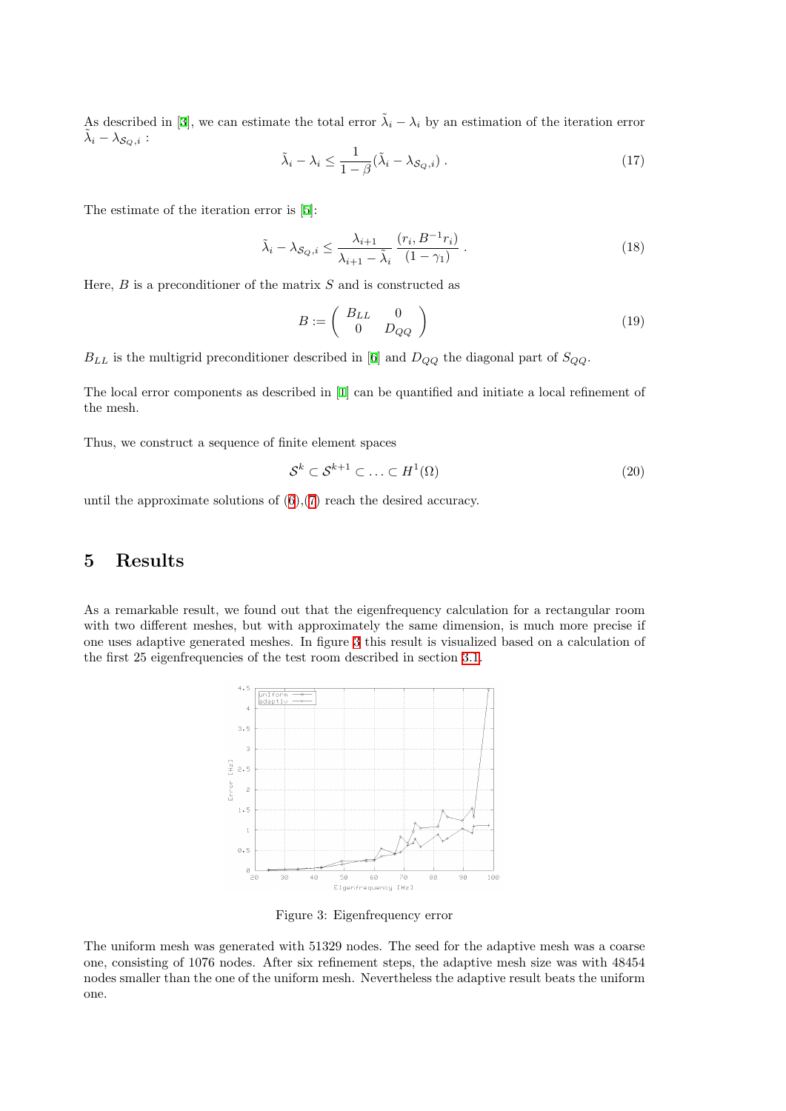Asdescribed in [[3\]](#page-5-2), we can estimate the total error  $\tilde{\lambda}_i - \lambda_i$  by an estimation of the iteration error  $\tilde{\lambda}_i - \lambda_{\mathcal{S}_Q, i}$  :

$$
\tilde{\lambda}_i - \lambda_i \le \frac{1}{1 - \beta} (\tilde{\lambda}_i - \lambda_{\mathcal{S}_Q, i}) \,. \tag{17}
$$

The estimate of the iteration error is [\[5](#page-5-3)]:

$$
\tilde{\lambda}_i - \lambda_{\mathcal{S}_Q, i} \le \frac{\lambda_{i+1}}{\lambda_{i+1} - \tilde{\lambda}_i} \frac{(r_i, B^{-1}r_i)}{(1 - \gamma_1)} . \tag{18}
$$

Here,  $B$  is a preconditioner of the matrix  $S$  and is constructed as

$$
B := \left(\begin{array}{cc} B_{LL} & 0\\ 0 & D_{QQ} \end{array}\right) \tag{19}
$$

 $B_{LL}$ is the multigrid preconditioner described in [[6\]](#page-5-4) and  $D_{QQ}$  the diagonal part of  $S_{QQ}$ .

The local error components as described in [\[1](#page-5-5)] can be quantified and initiate a local refinement of the mesh.

Thus, we construct a sequence of finite element spaces

$$
\mathcal{S}^k \subset \mathcal{S}^{k+1} \subset \ldots \subset H^1(\Omega) \tag{20}
$$

untilthe approximate solutions of  $(6)$  $(6)$ , $(7)$  $(7)$  reach the desired accuracy.

## 5 Results

As a remarkable result, we found out that the eigenfrequency calculation for a rectangular room with two different meshes, but with approximately the same dimension, is much more precise if one uses adaptive generated meshes. In figure [3](#page-4-0) this result is visualized based on a calculation of the first 25 eigenfrequencies of the test room described in section [3.1](#page-2-2).



<span id="page-4-0"></span>Figure 3: Eigenfrequency error

The uniform mesh was generated with 51329 nodes. The seed for the adaptive mesh was a coarse one, consisting of 1076 nodes. After six refinement steps, the adaptive mesh size was with 48454 nodes smaller than the one of the uniform mesh. Nevertheless the adaptive result beats the uniform one.